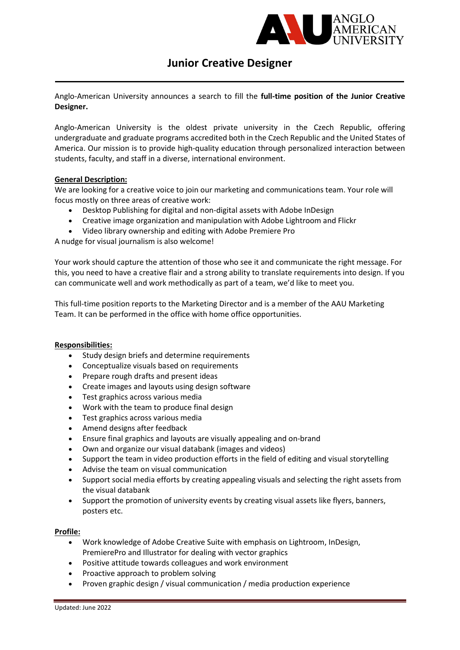

# Junior Creative Designer

Anglo-American University announces a search to fill the full-time position of the Junior Creative Designer.

Anglo-American University is the oldest private university in the Czech Republic, offering undergraduate and graduate programs accredited both in the Czech Republic and the United States of America. Our mission is to provide high-quality education through personalized interaction between students, faculty, and staff in a diverse, international environment.

## General Description:

We are looking for a creative voice to join our marketing and communications team. Your role will focus mostly on three areas of creative work:

- Desktop Publishing for digital and non-digital assets with Adobe InDesign
- Creative image organization and manipulation with Adobe Lightroom and Flickr
- Video library ownership and editing with Adobe Premiere Pro

A nudge for visual journalism is also welcome!

Your work should capture the attention of those who see it and communicate the right message. For this, you need to have a creative flair and a strong ability to translate requirements into design. If you can communicate well and work methodically as part of a team, we'd like to meet you.

This full-time position reports to the Marketing Director and is a member of the AAU Marketing Team. It can be performed in the office with home office opportunities.

### Responsibilities:

- Study design briefs and determine requirements
- Conceptualize visuals based on requirements
- Prepare rough drafts and present ideas
- Create images and layouts using design software
- Test graphics across various media
- Work with the team to produce final design
- Test graphics across various media
- Amend designs after feedback
- Ensure final graphics and layouts are visually appealing and on-brand
- Own and organize our visual databank (images and videos)
- Support the team in video production efforts in the field of editing and visual storytelling
- Advise the team on visual communication
- Support social media efforts by creating appealing visuals and selecting the right assets from the visual databank
- Support the promotion of university events by creating visual assets like flyers, banners, posters etc.

### Profile:

- Work knowledge of Adobe Creative Suite with emphasis on Lightroom, InDesign, PremierePro and Illustrator for dealing with vector graphics
- Positive attitude towards colleagues and work environment
- Proactive approach to problem solving
- Proven graphic design / visual communication / media production experience